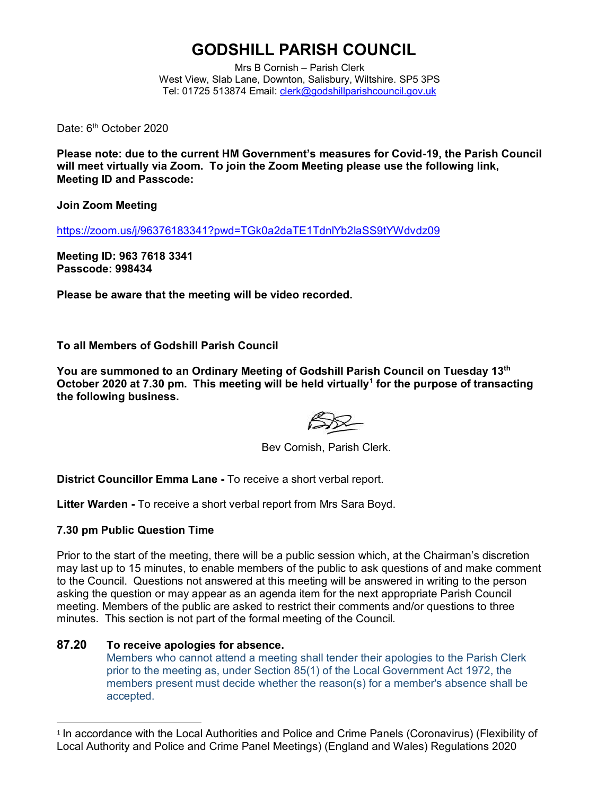# **GODSHILL PARISH COUNCIL**

Mrs B Cornish – Parish Clerk West View, Slab Lane, Downton, Salisbury, Wiltshire. SP5 3PS Tel: 01725 513874 Email: [clerk@godshillparishcouncil.gov.uk](mailto:clerk@godshillparishcouncil.gov.uk)

Date: 6<sup>th</sup> October 2020

**Please note: due to the current HM Government's measures for Covid-19, the Parish Council will meet virtually via Zoom. To join the Zoom Meeting please use the following link, Meeting ID and Passcode:**

**Join Zoom Meeting**

<https://zoom.us/j/96376183341?pwd=TGk0a2daTE1TdnlYb2laSS9tYWdvdz09>

**Meeting ID: 963 7618 3341 Passcode: 998434**

**Please be aware that the meeting will be video recorded.**

**To all Members of Godshill Parish Council**

**You are summoned to an Ordinary Meeting of Godshill Parish Council on Tuesday 13th October 2020 at 7.30 pm. This meeting will be held virtually<sup>1</sup> for the purpose of transacting the following business.**

Bev Cornish, Parish Clerk.

**District Councillor Emma Lane -** To receive a short verbal report.

**Litter Warden -** To receive a short verbal report from Mrs Sara Boyd.

## **7.30 pm Public Question Time**

Prior to the start of the meeting, there will be a public session which, at the Chairman's discretion may last up to 15 minutes, to enable members of the public to ask questions of and make comment to the Council. Questions not answered at this meeting will be answered in writing to the person asking the question or may appear as an agenda item for the next appropriate Parish Council meeting. Members of the public are asked to restrict their comments and/or questions to three minutes. This section is not part of the formal meeting of the Council.

## **87.20 To receive apologies for absence.**

Members who cannot attend a meeting shall tender their apologies to the Parish Clerk prior to the meeting as, under Section 85(1) of the Local Government Act 1972, the members present must decide whether the reason(s) for a member's absence shall be accepted.

<sup>1</sup> In accordance with the Local Authorities and Police and Crime Panels (Coronavirus) (Flexibility of Local Authority and Police and Crime Panel Meetings) (England and Wales) Regulations 2020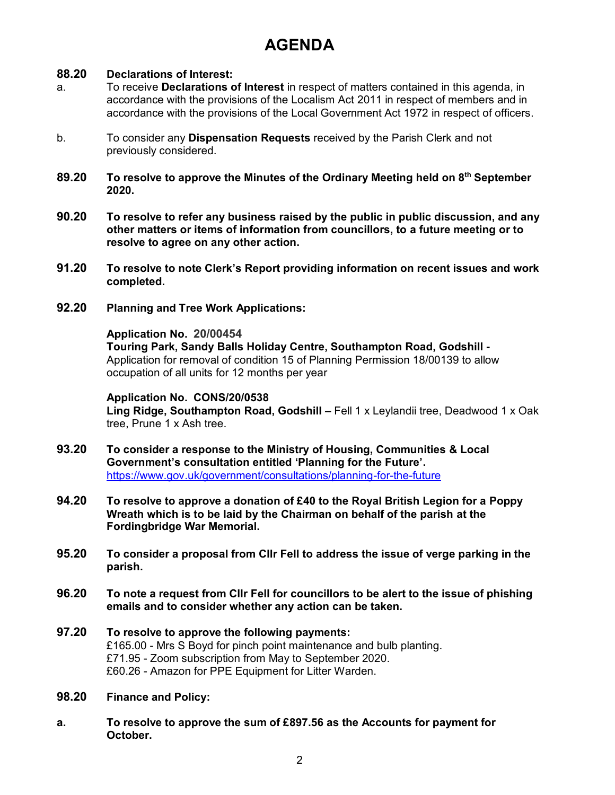# **AGENDA**

## **88.20 Declarations of Interest:**

- a. To receive **Declarations of Interest** in respect of matters contained in this agenda, in accordance with the provisions of the Localism Act 2011 in respect of members and in accordance with the provisions of the Local Government Act 1972 in respect of officers.
- b. To consider any **Dispensation Requests** received by the Parish Clerk and not previously considered.
- **89.20 To resolve to approve the Minutes of the Ordinary Meeting held on 8 th September 2020.**
- **90.20 To resolve to refer any business raised by the public in public discussion, and any other matters or items of information from councillors, to a future meeting or to resolve to agree on any other action.**
- **91.20 To resolve to note Clerk's Report providing information on recent issues and work completed.**
- **92.20 Planning and Tree Work Applications:**

## **Application No. 20/00454**

**Touring Park, Sandy Balls Holiday Centre, Southampton Road, Godshill -** Application for removal of condition 15 of Planning Permission 18/00139 to allow occupation of all units for 12 months per year

## **Application No. CONS/20/0538**

**Ling Ridge, Southampton Road, Godshill –** Fell 1 x Leylandii tree, Deadwood 1 x Oak tree, Prune 1 x Ash tree.

- **93.20 To consider a response to the Ministry of Housing, Communities & Local Government's consultation entitled 'Planning for the Future'.**  <https://www.gov.uk/government/consultations/planning-for-the-future>
- **94.20 To resolve to approve a donation of £40 to the Royal British Legion for a Poppy Wreath which is to be laid by the Chairman on behalf of the parish at the Fordingbridge War Memorial.**
- **95.20 To consider a proposal from Cllr Fell to address the issue of verge parking in the parish.**
- **96.20 To note a request from Cllr Fell for councillors to be alert to the issue of phishing emails and to consider whether any action can be taken.**
- **97.20 To resolve to approve the following payments:**  £165.00 - Mrs S Boyd for pinch point maintenance and bulb planting. £71.95 - Zoom subscription from May to September 2020. £60.26 - Amazon for PPE Equipment for Litter Warden.
- **98.20 Finance and Policy:**
- **a. To resolve to approve the sum of £897.56 as the Accounts for payment for October.**